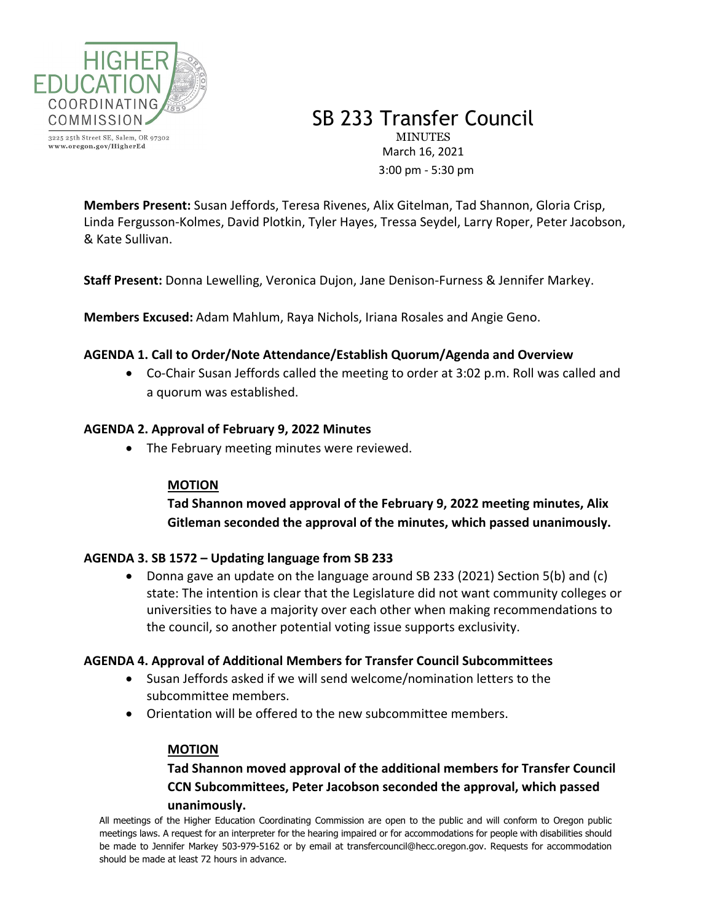

3225 25th Street SE, Salem, OR 97302 www.oregon.gov/HigherEd

SB 233 Transfer Council **MINUTES** March 16, 2021 3:00 pm - 5:30 pm

**Members Present:** Susan Jeffords, Teresa Rivenes, Alix Gitelman, Tad Shannon, Gloria Crisp, Linda Fergusson-Kolmes, David Plotkin, Tyler Hayes, Tressa Seydel, Larry Roper, Peter Jacobson, & Kate Sullivan.

**Staff Present:** Donna Lewelling, Veronica Dujon, Jane Denison-Furness & Jennifer Markey.

**Members Excused:** Adam Mahlum, Raya Nichols, Iriana Rosales and Angie Geno.

## **AGENDA 1. Call to Order/Note Attendance/Establish Quorum/Agenda and Overview**

• Co-Chair Susan Jeffords called the meeting to order at 3:02 p.m. Roll was called and a quorum was established.

## **AGENDA 2. Approval of February 9, 2022 Minutes**

• The February meeting minutes were reviewed.

### **MOTION**

**Tad Shannon moved approval of the February 9, 2022 meeting minutes, Alix Gitleman seconded the approval of the minutes, which passed unanimously.**

### **AGENDA 3. SB 1572 – Updating language from SB 233**

• Donna gave an update on the language around SB 233 (2021) Section 5(b) and (c) state: The intention is clear that the Legislature did not want community colleges or universities to have a majority over each other when making recommendations to the council, so another potential voting issue supports exclusivity.

### **AGENDA 4. Approval of Additional Members for Transfer Council Subcommittees**

- Susan Jeffords asked if we will send welcome/nomination letters to the subcommittee members.
- Orientation will be offered to the new subcommittee members.

### **MOTION**

# **Tad Shannon moved approval of the additional members for Transfer Council CCN Subcommittees, Peter Jacobson seconded the approval, which passed unanimously.**

All meetings of the Higher Education Coordinating Commission are open to the public and will conform to Oregon public meetings laws. A request for an interpreter for the hearing impaired or for accommodations for people with disabilities should be made to Jennifer Markey 503-979-5162 or by email at transfercouncil@hecc.oregon.gov. Requests for accommodation should be made at least 72 hours in advance.